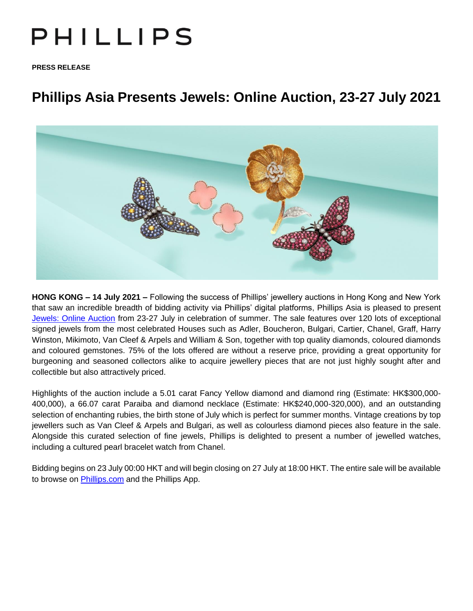# PHILLIPS

**PRESS RELEASE**

# **Phillips Asia Presents Jewels: Online Auction, 23-27 July 2021**



**HONG KONG – 14 July 2021 –** Following the success of Phillips' jewellery auctions in Hong Kong and New York that saw an incredible breadth of bidding activity via Phillips' digital platforms, Phillips Asia is pleased to present [Jewels: Online Auction](https://www.phillips.com/auctions/auction/HK060321) from 23-27 July in celebration of summer. The sale features over 120 lots of exceptional signed jewels from the most celebrated Houses such as Adler, Boucheron, Bulgari, Cartier, Chanel, Graff, Harry Winston, Mikimoto, Van Cleef & Arpels and William & Son, together with top quality diamonds, coloured diamonds and coloured gemstones. 75% of the lots offered are without a reserve price, providing a great opportunity for burgeoning and seasoned collectors alike to acquire jewellery pieces that are not just highly sought after and collectible but also attractively priced.

Highlights of the auction include a 5.01 carat Fancy Yellow diamond and diamond ring (Estimate: HK\$300,000- 400,000), a 66.07 carat Paraiba and diamond necklace (Estimate: HK\$240,000-320,000), and an outstanding selection of enchanting rubies, the birth stone of July which is perfect for summer months. Vintage creations by top jewellers such as Van Cleef & Arpels and Bulgari, as well as colourless diamond pieces also feature in the sale. Alongside this curated selection of fine jewels, Phillips is delighted to present a number of jewelled watches, including a cultured pearl bracelet watch from Chanel.

Bidding begins on 23 July 00:00 HKT and will begin closing on 27 July at 18:00 HKT. The entire sale will be available to browse on **Phillips.com** and the Phillips App.